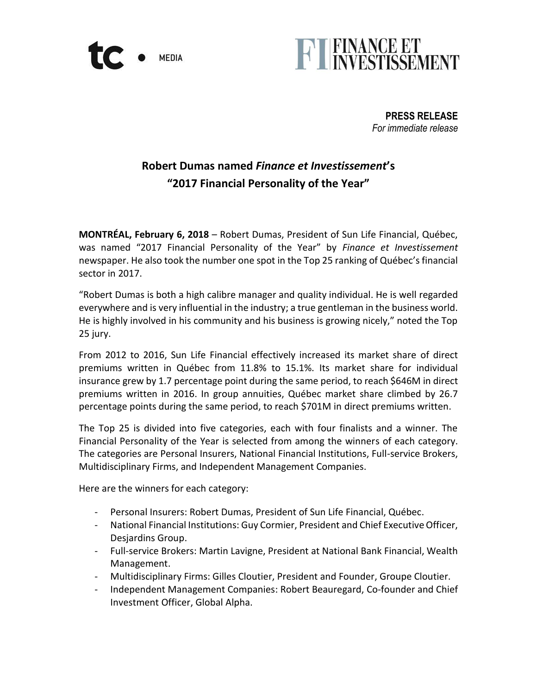



**PRESS RELEASE** *For immediate release*

# **Robert Dumas named** *Finance et Investissement***'s "2017 Financial Personality of the Year"**

**MONTRÉAL, February 6, 2018** – Robert Dumas, President of Sun Life Financial, Québec, was named "2017 Financial Personality of the Year" by *Finance et Investissement* newspaper. He also took the number one spot in the Top 25 ranking of Québec's financial sector in 2017.

"Robert Dumas is both a high calibre manager and quality individual. He is well regarded everywhere and is very influential in the industry; a true gentleman in the business world. He is highly involved in his community and his business is growing nicely," noted the Top 25 jury.

From 2012 to 2016, Sun Life Financial effectively increased its market share of direct premiums written in Québec from 11.8% to 15.1%. Its market share for individual insurance grew by 1.7 percentage point during the same period, to reach \$646M in direct premiums written in 2016. In group annuities, Québec market share climbed by 26.7 percentage points during the same period, to reach \$701M in direct premiums written.

The Top 25 is divided into five categories, each with four finalists and a winner. The Financial Personality of the Year is selected from among the winners of each category. The categories are Personal Insurers, National Financial Institutions, Full-service Brokers, Multidisciplinary Firms, and Independent Management Companies.

Here are the winners for each category:

- Personal Insurers: Robert Dumas, President of Sun Life Financial, Québec.
- National Financial Institutions: Guy Cormier, President and Chief Executive Officer, Desjardins Group.
- Full-service Brokers: Martin Lavigne, President at National Bank Financial, Wealth Management.
- Multidisciplinary Firms: Gilles Cloutier, President and Founder, Groupe Cloutier.
- Independent Management Companies: Robert Beauregard, Co-founder and Chief Investment Officer, Global Alpha.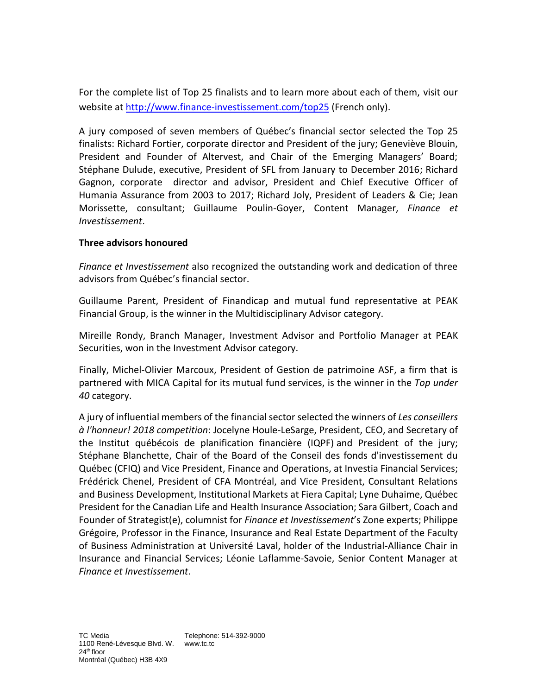For the complete list of Top 25 finalists and to learn more about each of them, visit our website at <http://www.finance-investissement.com/top25> (French only).

A jury composed of seven members of Québec's financial sector selected the Top 25 finalists: Richard Fortier, corporate director and President of the jury; Geneviève Blouin, President and Founder of Altervest, and Chair of the Emerging Managers' Board; Stéphane Dulude, executive, President of SFL from January to December 2016; Richard Gagnon, corporate director and advisor, President and Chief Executive Officer of Humania Assurance from 2003 to 2017; Richard Joly, President of Leaders & Cie; Jean Morissette, consultant; Guillaume Poulin-Goyer, Content Manager, *Finance et Investissement*.

### **Three advisors honoured**

*Finance et Investissement* also recognized the outstanding work and dedication of three advisors from Québec's financial sector.

Guillaume Parent, President of Finandicap and mutual fund representative at PEAK Financial Group, is the winner in the Multidisciplinary Advisor category.

Mireille Rondy, Branch Manager, Investment Advisor and Portfolio Manager at PEAK Securities, won in the Investment Advisor category.

Finally, Michel-Olivier Marcoux, President of Gestion de patrimoine ASF, a firm that is partnered with MICA Capital for its mutual fund services, is the winner in the *Top under 40* category.

A jury of influential members of the financial sector selected the winners of *Les conseillers à l'honneur! 2018 competition*: Jocelyne Houle-LeSarge, President, CEO, and Secretary of the Institut québécois de planification financière (IQPF) and President of the jury; Stéphane Blanchette, Chair of the Board of the Conseil des fonds d'investissement du Québec (CFIQ) and Vice President, Finance and Operations, at Investia Financial Services; Frédérick Chenel, President of CFA Montréal, and Vice President, Consultant Relations and Business Development, Institutional Markets at Fiera Capital; Lyne Duhaime, Québec President for the Canadian Life and Health Insurance Association; Sara Gilbert, Coach and Founder of Strategist(e), columnist for *Finance et Investissement*'s Zone experts; Philippe Grégoire, Professor in the Finance, Insurance and Real Estate Department of the Faculty of Business Administration at Université Laval, holder of the Industrial-Alliance Chair in Insurance and Financial Services; Léonie Laflamme-Savoie, Senior Content Manager at *Finance et Investissement*.